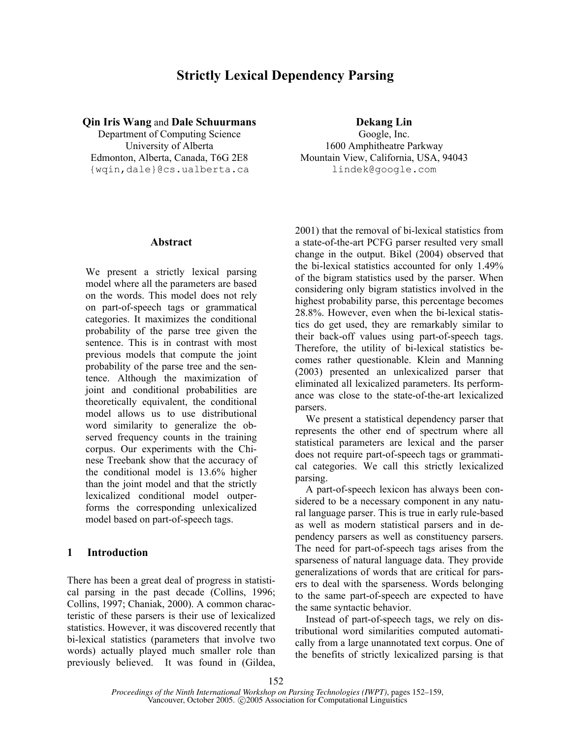# **Strictly Lexical Dependency Parsing**

**Qin Iris Wang** and **Dale Schuurmans Dekang Lin** 

Department of Computing Science Google, Inc. {wqin,dale}@cs.ualberta.ca lindek@google.com

## **Abstract**

We present a strictly lexical parsing model where all the parameters are based on the words. This model does not rely on part-of-speech tags or grammatical categories. It maximizes the conditional probability of the parse tree given the sentence. This is in contrast with most previous models that compute the joint probability of the parse tree and the sentence. Although the maximization of joint and conditional probabilities are theoretically equivalent, the conditional model allows us to use distributional word similarity to generalize the observed frequency counts in the training corpus. Our experiments with the Chinese Treebank show that the accuracy of the conditional model is 13.6% higher than the joint model and that the strictly lexicalized conditional model outperforms the corresponding unlexicalized model based on part-of-speech tags.

# **1 Introduction**

There has been a great deal of progress in statistical parsing in the past decade (Collins, 1996; Collins, 1997; Chaniak, 2000). A common characteristic of these parsers is their use of lexicalized statistics. However, it was discovered recently that bi-lexical statistics (parameters that involve two words) actually played much smaller role than previously believed. It was found in (Gildea,

University of Alberta 1600 Amphitheatre Parkway Edmonton, Alberta, Canada, T6G 2E8 Mountain View, California, USA, 94043

> 2001) that the removal of bi-lexical statistics from a state-of-the-art PCFG parser resulted very small change in the output. Bikel (2004) observed that the bi-lexical statistics accounted for only 1.49% of the bigram statistics used by the parser. When considering only bigram statistics involved in the highest probability parse, this percentage becomes 28.8%. However, even when the bi-lexical statistics do get used, they are remarkably similar to their back-off values using part-of-speech tags. Therefore, the utility of bi-lexical statistics becomes rather questionable. Klein and Manning (2003) presented an unlexicalized parser that eliminated all lexicalized parameters. Its performance was close to the state-of-the-art lexicalized parsers.

> We present a statistical dependency parser that represents the other end of spectrum where all statistical parameters are lexical and the parser does not require part-of-speech tags or grammatical categories. We call this strictly lexicalized parsing.

> A part-of-speech lexicon has always been considered to be a necessary component in any natural language parser. This is true in early rule-based as well as modern statistical parsers and in dependency parsers as well as constituency parsers. The need for part-of-speech tags arises from the sparseness of natural language data. They provide generalizations of words that are critical for parsers to deal with the sparseness. Words belonging to the same part-of-speech are expected to have the same syntactic behavior.

> Instead of part-of-speech tags, we rely on distributional word similarities computed automatically from a large unannotated text corpus. One of the benefits of strictly lexicalized parsing is that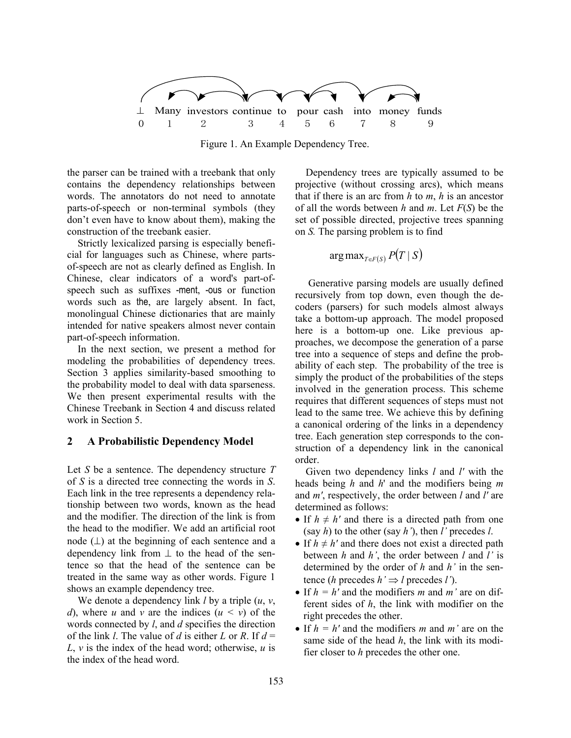

Figure 1. An Example Dependency Tree.

the parser can be trained with a treebank that only contains the dependency relationships between words. The annotators do not need to annotate parts-of-speech or non-terminal symbols (they don't even have to know about them), making the construction of the treebank easier.

Strictly lexicalized parsing is especially beneficial for languages such as Chinese, where partsof-speech are not as clearly defined as English. In Chinese, clear indicators of a word's part-ofspeech such as suffixes -ment, -ous or function words such as the, are largely absent. In fact, monolingual Chinese dictionaries that are mainly intended for native speakers almost never contain part-of-speech information.

In the next section, we present a method for modeling the probabilities of dependency trees. Section 3 applies similarity-based smoothing to the probability model to deal with data sparseness. We then present experimental results with the Chinese Treebank in Section 4 and discuss related work in Section 5.

# **2 A Probabilistic Dependency Model**

Let *S* be a sentence. The dependency structure *T* of *S* is a directed tree connecting the words in *S*. Each link in the tree represents a dependency relationship between two words, known as the head and the modifier. The direction of the link is from the head to the modifier. We add an artificial root node  $(L)$  at the beginning of each sentence and a dependency link from  $\perp$  to the head of the sentence so that the head of the sentence can be treated in the same way as other words. Figure 1 shows an example dependency tree.

We denote a dependency link *l* by a triple (*u*, *v*, *d*), where *u* and *v* are the indices  $(u < v)$  of the words connected by *l*, and *d* specifies the direction of the link *l*. The value of *d* is either *L* or *R*. If  $d =$  $L$ ,  $\nu$  is the index of the head word; otherwise,  $\mu$  is the index of the head word.

Dependency trees are typically assumed to be projective (without crossing arcs), which means that if there is an arc from *h* to *m*, *h* is an ancestor of all the words between *h* and *m*. Let *F*(*S*) be the set of possible directed, projective trees spanning on *S.* The parsing problem is to find

$$
\arg\max\nolimits_{T\in F(S)} P(T \mid S)
$$

 Generative parsing models are usually defined recursively from top down, even though the decoders (parsers) for such models almost always take a bottom-up approach. The model proposed here is a bottom-up one. Like previous approaches, we decompose the generation of a parse tree into a sequence of steps and define the probability of each step. The probability of the tree is simply the product of the probabilities of the steps involved in the generation process. This scheme requires that different sequences of steps must not lead to the same tree. We achieve this by defining a canonical ordering of the links in a dependency tree. Each generation step corresponds to the construction of a dependency link in the canonical order.

Given two dependency links *l* and *l'* with the heads being *h* and *h*' and the modifiers being *m* and *m'*, respectively, the order between *l* and *l'* are determined as follows:

- If  $h \neq h'$  and there is a directed path from one (say *h*) to the other (say *h'*), then *l'* precedes *l*.
- If  $h \neq h'$  and there does not exist a directed path between *h* and *h'*, the order between *l* and *l'* is determined by the order of *h* and *h'* in the sentence (*h* precedes  $h' \Rightarrow l$  precedes *l'*).
- If  $h = h'$  and the modifiers *m* and *m'* are on different sides of *h*, the link with modifier on the right precedes the other.
- If *h = h'* and the modifiers *m* and *m'* are on the same side of the head *h*, the link with its modifier closer to *h* precedes the other one.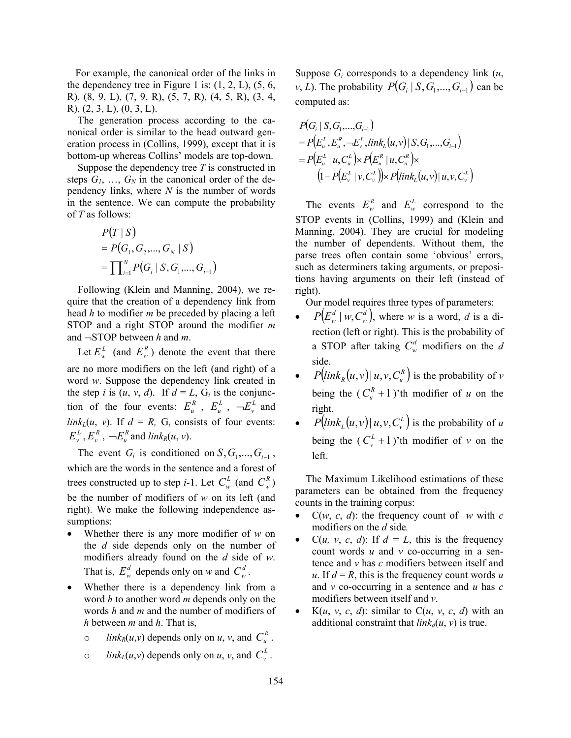For example, the canonical order of the links in the dependency tree in Figure 1 is:  $(1, 2, L)$ ,  $(5, 6,$ R), (8, 9, L), (7, 9, R), (5, 7, R), (4, 5, R), (3, 4, R), (2, 3, L), (0, 3, L).

The generation process according to the canonical order is similar to the head outward generation process in (Collins, 1999), except that it is bottom-up whereas Collins' models are top-down.

Suppose the dependency tree *T* is constructed in steps  $G_1$ , ...,  $G_N$  in the canonical order of the dependency links, where *N* is the number of words in the sentence. We can compute the probability of *T* as follows:

$$
P(T | S)
$$
  
= P(G<sub>1</sub>, G<sub>2</sub>,..., G<sub>N</sub> | S)  
= 
$$
\prod_{i=1}^{N} P(G_i | S, G_1,..., G_{i-1})
$$

Following (Klein and Manning, 2004), we require that the creation of a dependency link from head *h* to modifier *m* be preceded by placing a left STOP and a right STOP around the modifier *m* and ¬STOP between *h* and *m*.

Let  $E_w^L$  (and  $E_w^R$ ) denote the event that there are no more modifiers on the left (and right) of a word *w*. Suppose the dependency link created in the step *i* is  $(u, v, d)$ . If  $d = L$ ,  $G_i$  is the conjunction of the four events:  $E_u^R$ ,  $E_u^L$ ,  $-\frac{E_v^L}{R}$  and *link<sub>L</sub>*(*u*, *v*). If  $d = R$ , G<sub>i</sub> consists of four events:  $E_v^L$ ,  $E_v^R$ ,  $\neg E_u^R$  and *link<sub>R</sub>*(*u*, *v*).

The event  $G_i$  is conditioned on  $S, G_1, \ldots, G_{i-1}$ , which are the words in the sentence and a forest of trees constructed up to step *i*-1. Let  $C_w^L$  (and  $C_w^R$ ) be the number of modifiers of *w* on its left (and right). We make the following independence assumptions:

- Whether there is any more modifier of *w* on the *d* side depends only on the number of modifiers already found on the *d* side of *w*. That is,  $E_w^d$  depends only on *w* and  $C_w^d$ .
- Whether there is a dependency link from a word *h* to another word *m* depends only on the words *h* and *m* and the number of modifiers of *h* between *m* and *h*. That is,
	- *o link<sub>R</sub>*(*u*,*v*) depends only on *u*, *v*, and  $C_u^R$ .
	- *o link*<sub>*L*</sub>(*u*,*v*) depends only on *u*, *v*, and  $C_v^L$ .

Suppose  $G_i$  corresponds to a dependency link  $(u,$ *v*, *L*). The probability  $P(G_i | S, G_1, \ldots, G_{i-1})$  can be computed as:

$$
P(G_i | S, G_1, ..., G_{i-1})
$$
  
=  $P(E_u^L, E_u^R, \neg E_v^L, link_L(u, v) | S, G_1, ..., G_{i-1})$   
=  $P(E_u^L | u, C_u^L) \times P(E_u^R | u, C_u^R) \times$   
 $(1 - P(E_v^L | v, C_v^L)) \times P(link_L(u, v) | u, v, C_v^L)$ 

The events  $E_w^R$  and  $E_w^L$  correspond to the STOP events in (Collins, 1999) and (Klein and Manning, 2004). They are crucial for modeling the number of dependents. Without them, the parse trees often contain some 'obvious' errors, such as determiners taking arguments, or prepositions having arguments on their left (instead of right).

Our model requires three types of parameters:

- $P(E_w^d | w, C_w^d)$ , where *w* is a word, *d* is a direction (left or right). This is the probability of a STOP after taking  $C_w^d$  modifiers on the *d* side.
- $P\left( \text{link}_R(u, v) \mid u, v, C_u^R \right)$  is the probability of *v* being the  $(C_u^R + 1)$ 'th modifier of *u* on the right.
- $P\left( \text{link}_{L}(u, v) \mid u, v, C_v^L \right)$  is the probability of *u* being the  $(C_v^L + 1)$ 'th modifier of *v* on the left.

The Maximum Likelihood estimations of these parameters can be obtained from the frequency counts in the training corpus:

- $C(w, c, d)$ : the frequency count of *w* with *c* modifiers on the *d* side*.*
- $C(u, v, c, d)$ : If  $d = L$ , this is the frequency count words *u* and *v* co-occurring in a sentence and *v* has *c* modifiers between itself and  $u$ . If  $d = R$ , this is the frequency count words *u* and *v* co-occurring in a sentence and *u* has *c* modifiers between itself and *v*.
- $K(u, v, c, d)$ : similar to  $C(u, v, c, d)$  with an additional constraint that  $link_d(u, v)$  is true.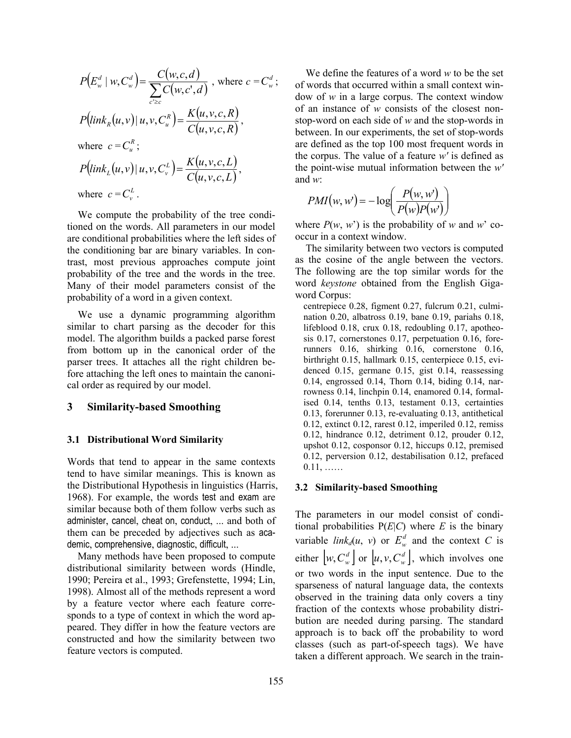$$
P(E_w^d | w, C_w^d) = \frac{C(w, c, d)}{\sum_{c \ge c} C(w, c', d)}, \text{ where } c = C_w^d;
$$
  
\n
$$
P\left(\text{link}_R(u, v) | u, v, C_w^R\right) = \frac{K(u, v, c, R)}{C(u, v, c, R)},
$$
  
\nwhere  $c = C_w^R$ ;  
\n
$$
P\left(\text{link}_L(u, v) | u, v, C_v^L\right) = \frac{K(u, v, c, L)}{C(u, v, c, L)},
$$
  
\nwhere  $c = C_v^L$ .

We compute the probability of the tree conditioned on the words. All parameters in our model are conditional probabilities where the left sides of the conditioning bar are binary variables. In contrast, most previous approaches compute joint probability of the tree and the words in the tree. Many of their model parameters consist of the probability of a word in a given context.

We use a dynamic programming algorithm similar to chart parsing as the decoder for this model. The algorithm builds a packed parse forest from bottom up in the canonical order of the parser trees. It attaches all the right children before attaching the left ones to maintain the canonical order as required by our model.

#### **3 Similarity-based Smoothing**

#### **3.1 Distributional Word Similarity**

Words that tend to appear in the same contexts tend to have similar meanings. This is known as the Distributional Hypothesis in linguistics (Harris, 1968). For example, the words test and exam are similar because both of them follow verbs such as administer, cancel, cheat on, conduct, ... and both of them can be preceded by adjectives such as academic, comprehensive, diagnostic, difficult, ...

Many methods have been proposed to compute distributional similarity between words (Hindle, 1990; Pereira et al., 1993; Grefenstette, 1994; Lin, 1998). Almost all of the methods represent a word by a feature vector where each feature corresponds to a type of context in which the word appeared. They differ in how the feature vectors are constructed and how the similarity between two feature vectors is computed.

We define the features of a word *w* to be the set of words that occurred within a small context window of *w* in a large corpus. The context window of an instance of *w* consists of the closest nonstop-word on each side of *w* and the stop-words in between. In our experiments, the set of stop-words are defined as the top 100 most frequent words in the corpus. The value of a feature *w'* is defined as the point-wise mutual information between the *w'* and *w*:

$$
PMI(w, w') = -\log\left(\frac{P(w, w')}{P(w)P(w')}\right)
$$

where  $P(w, w')$  is the probability of *w* and *w*' cooccur in a context window.

The similarity between two vectors is computed as the cosine of the angle between the vectors. The following are the top similar words for the word *keystone* obtained from the English Gigaword Corpus:

centrepiece 0.28, figment 0.27, fulcrum 0.21, culmination 0.20, albatross 0.19, bane 0.19, pariahs 0.18, lifeblood 0.18, crux 0.18, redoubling 0.17, apotheosis 0.17, cornerstones 0.17, perpetuation 0.16, forerunners 0.16, shirking 0.16, cornerstone 0.16, birthright 0.15, hallmark 0.15, centerpiece 0.15, evidenced 0.15, germane 0.15, gist 0.14, reassessing 0.14, engrossed 0.14, Thorn 0.14, biding 0.14, narrowness 0.14, linchpin 0.14, enamored 0.14, formalised 0.14, tenths 0.13, testament 0.13, certainties 0.13, forerunner 0.13, re-evaluating 0.13, antithetical 0.12, extinct 0.12, rarest 0.12, imperiled 0.12, remiss 0.12, hindrance 0.12, detriment 0.12, prouder 0.12, upshot 0.12, cosponsor 0.12, hiccups 0.12, premised 0.12, perversion 0.12, destabilisation 0.12, prefaced  $0.11, \ldots$ ...

## **3.2 Similarity-based Smoothing**

The parameters in our model consist of conditional probabilities  $P(E|C)$  where *E* is the binary variable  $link_d(u, v)$  or  $E_w^d$  and the context *C* is either  $\left[ w, C_w^d \right]$  or  $\left[ u, v, C_w^d \right]$ , which involves one or two words in the input sentence. Due to the sparseness of natural language data, the contexts observed in the training data only covers a tiny fraction of the contexts whose probability distribution are needed during parsing. The standard approach is to back off the probability to word classes (such as part-of-speech tags). We have taken a different approach. We search in the train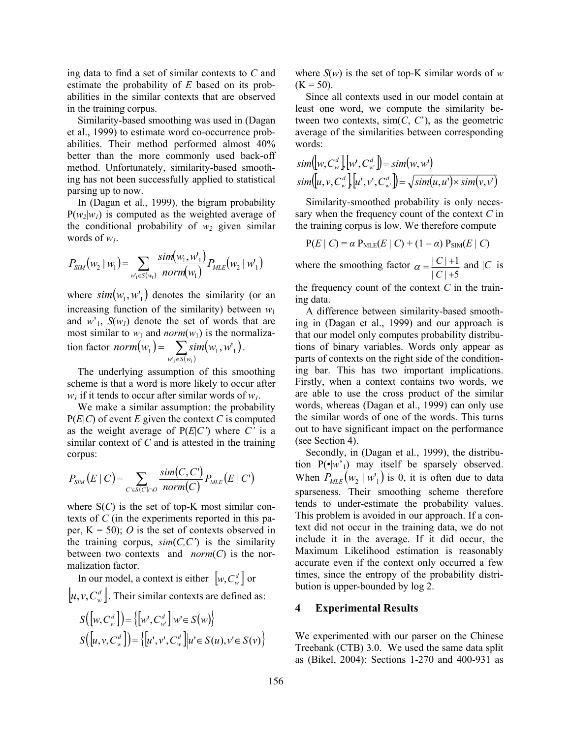ing data to find a set of similar contexts to *C* and estimate the probability of *E* based on its probabilities in the similar contexts that are observed in the training corpus.

Similarity-based smoothing was used in (Dagan et al., 1999) to estimate word co-occurrence probabilities. Their method performed almost 40% better than the more commonly used back-off method. Unfortunately, similarity-based smoothing has not been successfully applied to statistical parsing up to now.

In (Dagan et al., 1999), the bigram probability  $P(w_2|w_1)$  is computed as the weighted average of the conditional probability of  $w_2$  given similar words of  $w_l$ .

$$
P_{SIM}(w_2 \mid w_1) = \sum_{w_1 \in S(w_1)} \frac{sim(w_1, w_1)}{norm(w_1)} P_{MLE}(w_2 \mid w_1)
$$

where  $\sin(w_1, w_1)$  denotes the similarity (or an increasing function of the similarity) between  $w_1$ and  $w<sub>1</sub>$ ,  $S(w<sub>1</sub>)$  denote the set of words that are most similar to  $w_1$  and *norm* $(w_1)$  is the normalization factor  $norm(w_1) = \sum sim(w_1, w_1)$  $=\sum_{w_1 \in S(w_1)} s_i$  $T_1 \in S(w_1)$  $y_1$ ) =  $\sum$  sim( $w_1, w_1'$  $w'_1 \in S(w)$  $norm(w_1) = \sum \, sim(w_1, w_1).$ 

The underlying assumption of this smoothing scheme is that a word is more likely to occur after  $w_l$  if it tends to occur after similar words of  $w_l$ .

We make a similar assumption: the probability  $P(E|C)$  of event *E* given the context *C* is computed as the weight average of  $P(E|C')$  where *C'* is a similar context of *C* and is attested in the training corpus:

$$
P_{\text{SIM}}(E | C) = \sum_{C \in S(C) \cap O} \frac{\text{sim}(C, C')}{\text{norm}(C)} P_{\text{MLE}}(E | C')
$$

where  $S(C)$  is the set of top-K most similar contexts of *C* (in the experiments reported in this paper,  $K = 50$ ; *O* is the set of contexts observed in the training corpus,  $sim(C, C')$  is the similarity between two contexts and *norm*(*C*) is the normalization factor.

In our model, a context is either  $\left[ w, C_w^d \right]$  or  $[u, v, C_w^d]$ . Their similar contexts are defined as:

$$
S([w, C_w^d]) = \{ [w', C_w^d] | w \in S(w) \}
$$
  

$$
S([u, v, C_w^d]) = \{ [u', v', C_w^d] | u' \in S(u), v' \in S(v) \}
$$

where  $S(w)$  is the set of top-K similar words of w  $(K = 50)$ .

Since all contexts used in our model contain at least one word, we compute the similarity between two contexts,  $\text{sim}(C, C')$ , as the geometric average of the similarities between corresponding words:

$$
sim([w, C_w^d][w', C_w^d]) = sim(w, w')
$$
  
\n
$$
sim([u, v, C_w^d][u', v', C_w^d]) = \sqrt{sim(u, u') \times sim(v, v')}
$$

Similarity-smoothed probability is only necessary when the frequency count of the context *C* in the training corpus is low. We therefore compute

$$
P(E \mid C) = \alpha P_{MLE}(E \mid C) + (1 - \alpha) P_{SIM}(E \mid C)
$$

where the smoothing factor  $|C|$  +5  $|C|+1$  $\alpha = \frac{|C|+1}{|C|+5}$  and  $|C|$  is

the frequency count of the context *C* in the training data.

A difference between similarity-based smoothing in (Dagan et al., 1999) and our approach is that our model only computes probability distributions of binary variables. Words only appear as parts of contexts on the right side of the conditioning bar. This has two important implications. Firstly, when a context contains two words, we are able to use the cross product of the similar words, whereas (Dagan et al., 1999) can only use the similar words of one of the words. This turns out to have significant impact on the performance (see Section 4).

Secondly, in (Dagan et al., 1999), the distribution  $P(\cdot|w')$  may itself be sparsely observed. When  $P_{MIF}(w_2 | w_1)$  is 0, it is often due to data sparseness. Their smoothing scheme therefore tends to under-estimate the probability values. This problem is avoided in our approach. If a context did not occur in the training data, we do not include it in the average. If it did occur, the Maximum Likelihood estimation is reasonably accurate even if the context only occurred a few times, since the entropy of the probability distribution is upper-bounded by log 2.

#### **4 Experimental Results**

We experimented with our parser on the Chinese Treebank (CTB) 3.0. We used the same data split as (Bikel, 2004): Sections 1-270 and 400-931 as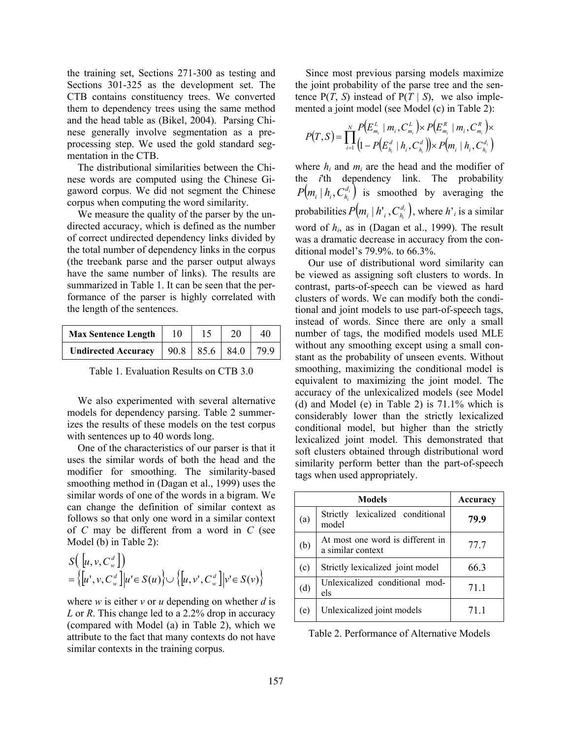the training set, Sections 271-300 as testing and Sections 301-325 as the development set. The CTB contains constituency trees. We converted them to dependency trees using the same method and the head table as (Bikel, 2004). Parsing Chinese generally involve segmentation as a preprocessing step. We used the gold standard segmentation in the CTB.

The distributional similarities between the Chinese words are computed using the Chinese Gigaword corpus. We did not segment the Chinese corpus when computing the word similarity.

We measure the quality of the parser by the undirected accuracy, which is defined as the number of correct undirected dependency links divided by the total number of dependency links in the corpus (the treebank parse and the parser output always have the same number of links). The results are summarized in Table 1. It can be seen that the performance of the parser is highly correlated with the length of the sentences.

| <b>Max Sentence Length</b> | 10 |                  |     |
|----------------------------|----|------------------|-----|
| <b>Undirected Accuracy</b> |    | $90.8$ 85.6 84.0 | 799 |

Table 1. Evaluation Results on CTB 3.0

We also experimented with several alternative models for dependency parsing. Table 2 summerizes the results of these models on the test corpus with sentences up to 40 words long.

One of the characteristics of our parser is that it uses the similar words of both the head and the modifier for smoothing. The similarity-based smoothing method in (Dagan et al., 1999) uses the similar words of one of the words in a bigram. We can change the definition of similar context as follows so that only one word in a similar context of *C* may be different from a word in *C* (see Model (b) in Table 2):

$$
S\left(\begin{bmatrix}u,v,C^d_w\end{bmatrix}\right)
$$
  
=  $\left\{\begin{bmatrix}u',v,C^d_w\end{bmatrix}\middle|u'\in S(u)\right\}\cup\left\{\begin{bmatrix}u,v',C^d_w\end{bmatrix}\middle|v'\in S(v)\right\}$ 

where *w* is either *v* or *u* depending on whether *d* is *L* or *R*. This change led to a 2.2% drop in accuracy (compared with Model (a) in Table 2), which we attribute to the fact that many contexts do not have similar contexts in the training corpus.

Since most previous parsing models maximize the joint probability of the parse tree and the sentence  $P(T, S)$  instead of  $P(T | S)$ , we also implemented a joint model (see Model (c) in Table 2):

$$
P(T, S) = \prod_{i=1}^{N} \frac{P(E_{m_i}^L \mid m_i, C_{m_i}^L) \times P(E_{m_i}^R \mid m_i, C_{m_i}^R) \times}{(1 - P(E_{n_i}^d \mid h_i, C_{n_i}^d)) \times P(m_i \mid h_i, C_{n_i}^d)}
$$

where  $h_i$  and  $m_i$  are the head and the modifier of the *i*'th dependency link. The probability  $\left( m_{i}\mid h_{i},C_{h_{i}}^{d_{i}}\right)$  $P(m_i | h_i, C_{h_i}^d)$  is smoothed by averaging the probabilities  $P(m_i \mid h^\intercal_i, C^{d_i}_{h_i})$  $P(m_i | h'_i, C_{h_i}^{d_i})$ , where *h*'<sub>*i*</sub> is a similar word of *hi*, as in (Dagan et al., 1999). The result was a dramatic decrease in accuracy from the conditional model's 79.9%. to 66.3%.

 Our use of distributional word similarity can be viewed as assigning soft clusters to words. In contrast, parts-of-speech can be viewed as hard clusters of words. We can modify both the conditional and joint models to use part-of-speech tags, instead of words. Since there are only a small number of tags, the modified models used MLE without any smoothing except using a small constant as the probability of unseen events. Without smoothing, maximizing the conditional model is equivalent to maximizing the joint model. The accuracy of the unlexicalized models (see Model (d) and Model (e) in Table 2) is 71.1% which is considerably lower than the strictly lexicalized conditional model, but higher than the strictly lexicalized joint model. This demonstrated that soft clusters obtained through distributional word similarity perform better than the part-of-speech tags when used appropriately.

| <b>Models</b> |                                                       | Accuracy |  |
|---------------|-------------------------------------------------------|----------|--|
| (a)           | lexicalized conditional<br>Strictly<br>model          | 79.9     |  |
| (b)           | At most one word is different in<br>a similar context | 77.7     |  |
| (c)           | Strictly lexicalized joint model                      | 66.3     |  |
| (d)           | Unlexicalized conditional mod-<br>els                 | 71.1     |  |
| (e)           | Unlexicalized joint models                            | 71.1     |  |

Table 2. Performance of Alternative Models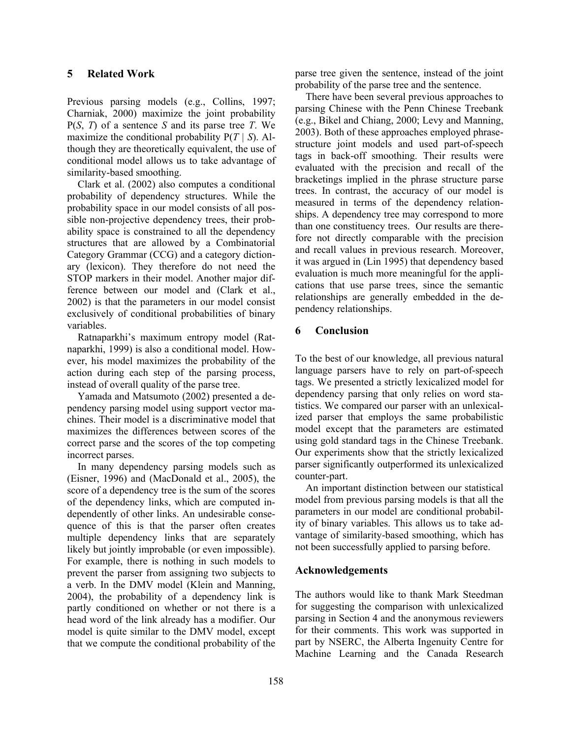Previous parsing models (e.g., Collins, 1997; Charniak, 2000) maximize the joint probability P(*S*, *T*) of a sentence *S* and its parse tree *T*. We maximize the conditional probability P(*T | S*). Although they are theoretically equivalent, the use of conditional model allows us to take advantage of similarity-based smoothing.

Clark et al. (2002) also computes a conditional probability of dependency structures. While the probability space in our model consists of all possible non-projective dependency trees, their probability space is constrained to all the dependency structures that are allowed by a Combinatorial Category Grammar (CCG) and a category dictionary (lexicon). They therefore do not need the STOP markers in their model. Another major difference between our model and (Clark et al., 2002) is that the parameters in our model consist exclusively of conditional probabilities of binary variables.

Ratnaparkhi's maximum entropy model (Ratnaparkhi, 1999) is also a conditional model. However, his model maximizes the probability of the action during each step of the parsing process, instead of overall quality of the parse tree.

Yamada and Matsumoto (2002) presented a dependency parsing model using support vector machines. Their model is a discriminative model that maximizes the differences between scores of the correct parse and the scores of the top competing incorrect parses.

In many dependency parsing models such as (Eisner, 1996) and (MacDonald et al., 2005), the score of a dependency tree is the sum of the scores of the dependency links, which are computed independently of other links. An undesirable consequence of this is that the parser often creates multiple dependency links that are separately likely but jointly improbable (or even impossible). For example, there is nothing in such models to prevent the parser from assigning two subjects to a verb. In the DMV model (Klein and Manning, 2004), the probability of a dependency link is partly conditioned on whether or not there is a head word of the link already has a modifier. Our model is quite similar to the DMV model, except that we compute the conditional probability of the parse tree given the sentence, instead of the joint probability of the parse tree and the sentence.

There have been several previous approaches to parsing Chinese with the Penn Chinese Treebank (e.g., Bikel and Chiang, 2000; Levy and Manning, 2003). Both of these approaches employed phrasestructure joint models and used part-of-speech tags in back-off smoothing. Their results were evaluated with the precision and recall of the bracketings implied in the phrase structure parse trees. In contrast, the accuracy of our model is measured in terms of the dependency relationships. A dependency tree may correspond to more than one constituency trees. Our results are therefore not directly comparable with the precision and recall values in previous research. Moreover, it was argued in (Lin 1995) that dependency based evaluation is much more meaningful for the applications that use parse trees, since the semantic relationships are generally embedded in the dependency relationships.

### **6 Conclusion**

To the best of our knowledge, all previous natural language parsers have to rely on part-of-speech tags. We presented a strictly lexicalized model for dependency parsing that only relies on word statistics. We compared our parser with an unlexicalized parser that employs the same probabilistic model except that the parameters are estimated using gold standard tags in the Chinese Treebank. Our experiments show that the strictly lexicalized parser significantly outperformed its unlexicalized counter-part.

An important distinction between our statistical model from previous parsing models is that all the parameters in our model are conditional probability of binary variables. This allows us to take advantage of similarity-based smoothing, which has not been successfully applied to parsing before.

## **Acknowledgements**

The authors would like to thank Mark Steedman for suggesting the comparison with unlexicalized parsing in Section 4 and the anonymous reviewers for their comments. This work was supported in part by NSERC, the Alberta Ingenuity Centre for Machine Learning and the Canada Research